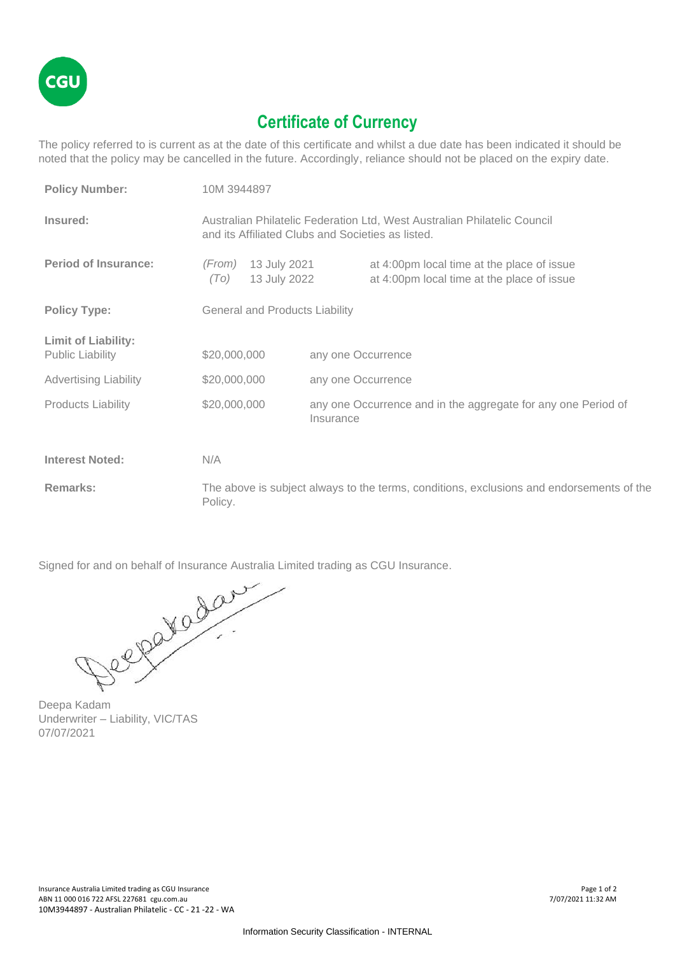

## **Certificate of Currency**

The policy referred to is current as at the date of this certificate and whilst a due date has been indicated it should be noted that the policy may be cancelled in the future. Accordingly, reliance should not be placed on the expiry date.

| <b>Policy Number:</b>                                 | 10M 3944897                                                                                                                   |                    |                                                                                          |
|-------------------------------------------------------|-------------------------------------------------------------------------------------------------------------------------------|--------------------|------------------------------------------------------------------------------------------|
| Insured:                                              | Australian Philatelic Federation Ltd, West Australian Philatelic Council<br>and its Affiliated Clubs and Societies as listed. |                    |                                                                                          |
| <b>Period of Insurance:</b>                           | 13 July 2021<br>(From)<br>13 July 2022<br>(TO)                                                                                |                    | at 4:00pm local time at the place of issue<br>at 4:00pm local time at the place of issue |
| <b>Policy Type:</b>                                   | <b>General and Products Liability</b>                                                                                         |                    |                                                                                          |
| <b>Limit of Liability:</b><br><b>Public Liability</b> | \$20,000,000                                                                                                                  | any one Occurrence |                                                                                          |
| <b>Advertising Liability</b>                          | \$20,000,000                                                                                                                  | any one Occurrence |                                                                                          |
| <b>Products Liability</b>                             | \$20,000,000                                                                                                                  | Insurance          | any one Occurrence and in the aggregate for any one Period of                            |
| <b>Interest Noted:</b>                                | N/A                                                                                                                           |                    |                                                                                          |
| Remarks:                                              | The above is subject always to the terms, conditions, exclusions and endorsements of the<br>Policy.                           |                    |                                                                                          |

Signed for and on behalf of Insurance Australia Limited trading as CGU Insurance.

Deepa Kadam Underwriter – Liability, VIC/TAS 07/07/2021